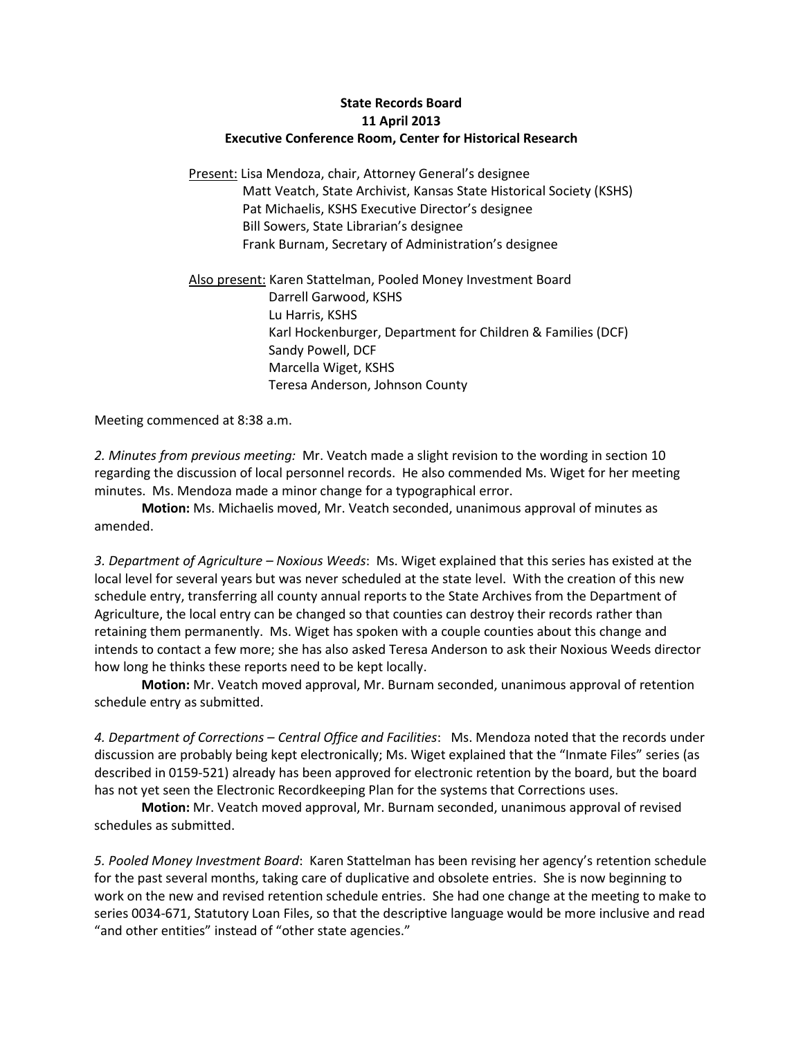## **State Records Board 11 April 2013 Executive Conference Room, Center for Historical Research**

Present: Lisa Mendoza, chair, Attorney General's designee Matt Veatch, State Archivist, Kansas State Historical Society (KSHS) Pat Michaelis, KSHS Executive Director's designee Bill Sowers, State Librarian's designee Frank Burnam, Secretary of Administration's designee

Also present: Karen Stattelman, Pooled Money Investment Board Darrell Garwood, KSHS Lu Harris, KSHS Karl Hockenburger, Department for Children & Families (DCF) Sandy Powell, DCF Marcella Wiget, KSHS Teresa Anderson, Johnson County

Meeting commenced at 8:38 a.m.

*2. Minutes from previous meeting:* Mr. Veatch made a slight revision to the wording in section 10 regarding the discussion of local personnel records. He also commended Ms. Wiget for her meeting minutes. Ms. Mendoza made a minor change for a typographical error.

**Motion:** Ms. Michaelis moved, Mr. Veatch seconded, unanimous approval of minutes as amended.

*3. Department of Agriculture – Noxious Weeds*: Ms. Wiget explained that this series has existed at the local level for several years but was never scheduled at the state level. With the creation of this new schedule entry, transferring all county annual reports to the State Archives from the Department of Agriculture, the local entry can be changed so that counties can destroy their records rather than retaining them permanently. Ms. Wiget has spoken with a couple counties about this change and intends to contact a few more; she has also asked Teresa Anderson to ask their Noxious Weeds director how long he thinks these reports need to be kept locally.

**Motion:** Mr. Veatch moved approval, Mr. Burnam seconded, unanimous approval of retention schedule entry as submitted.

*4. Department of Corrections – Central Office and Facilities*: Ms. Mendoza noted that the records under discussion are probably being kept electronically; Ms. Wiget explained that the "Inmate Files" series (as described in 0159-521) already has been approved for electronic retention by the board, but the board has not yet seen the Electronic Recordkeeping Plan for the systems that Corrections uses.

**Motion:** Mr. Veatch moved approval, Mr. Burnam seconded, unanimous approval of revised schedules as submitted.

*5. Pooled Money Investment Board*: Karen Stattelman has been revising her agency's retention schedule for the past several months, taking care of duplicative and obsolete entries. She is now beginning to work on the new and revised retention schedule entries. She had one change at the meeting to make to series 0034-671, Statutory Loan Files, so that the descriptive language would be more inclusive and read "and other entities" instead of "other state agencies."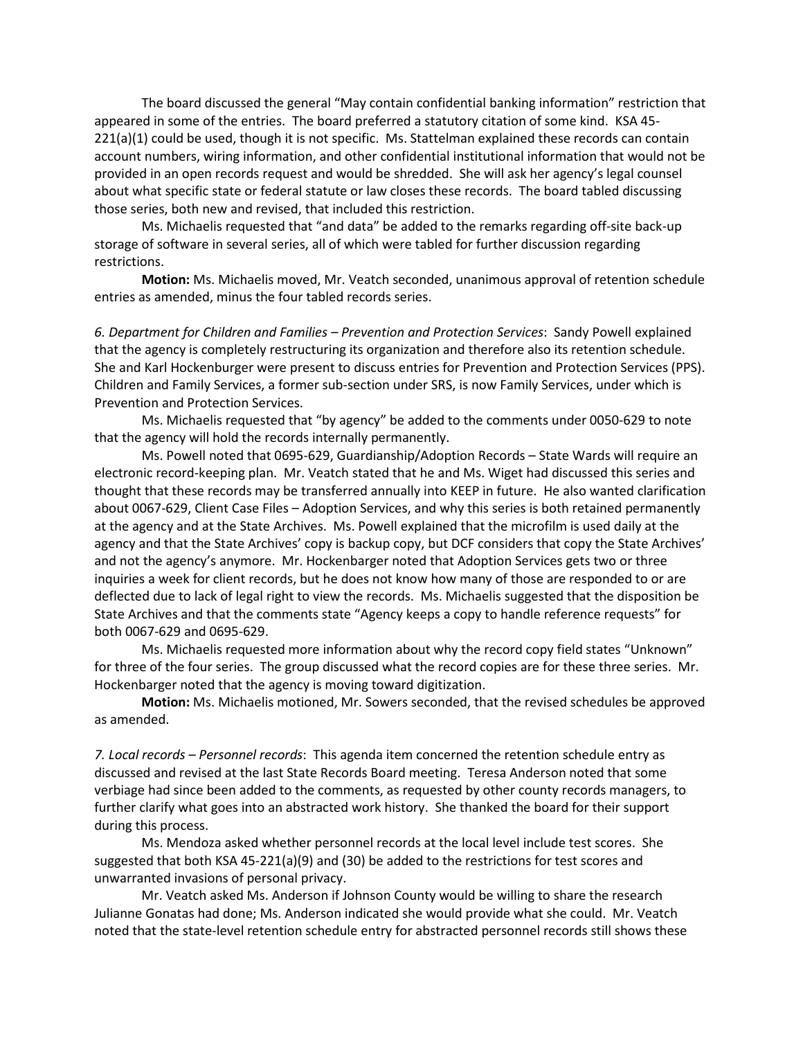The board discussed the general "May contain confidential banking information" restriction that appeared in some of the entries. The board preferred a statutory citation of some kind. KSA 45- 221(a)(1) could be used, though it is not specific. Ms. Stattelman explained these records can contain account numbers, wiring information, and other confidential institutional information that would not be provided in an open records request and would be shredded. She will ask her agency's legal counsel about what specific state or federal statute or law closes these records. The board tabled discussing those series, both new and revised, that included this restriction.

Ms. Michaelis requested that "and data" be added to the remarks regarding off-site back-up storage of software in several series, all of which were tabled for further discussion regarding restrictions.

**Motion:** Ms. Michaelis moved, Mr. Veatch seconded, unanimous approval of retention schedule entries as amended, minus the four tabled records series.

*6. Department for Children and Families – Prevention and Protection Services*: Sandy Powell explained that the agency is completely restructuring its organization and therefore also its retention schedule. She and Karl Hockenburger were present to discuss entries for Prevention and Protection Services (PPS). Children and Family Services, a former sub-section under SRS, is now Family Services, under which is Prevention and Protection Services.

Ms. Michaelis requested that "by agency" be added to the comments under 0050-629 to note that the agency will hold the records internally permanently.

Ms. Powell noted that 0695-629, Guardianship/Adoption Records – State Wards will require an electronic record-keeping plan. Mr. Veatch stated that he and Ms. Wiget had discussed this series and thought that these records may be transferred annually into KEEP in future. He also wanted clarification about 0067-629, Client Case Files – Adoption Services, and why this series is both retained permanently at the agency and at the State Archives. Ms. Powell explained that the microfilm is used daily at the agency and that the State Archives' copy is backup copy, but DCF considers that copy the State Archives' and not the agency's anymore. Mr. Hockenbarger noted that Adoption Services gets two or three inquiries a week for client records, but he does not know how many of those are responded to or are deflected due to lack of legal right to view the records. Ms. Michaelis suggested that the disposition be State Archives and that the comments state "Agency keeps a copy to handle reference requests" for both 0067-629 and 0695-629.

Ms. Michaelis requested more information about why the record copy field states "Unknown" for three of the four series. The group discussed what the record copies are for these three series. Mr. Hockenbarger noted that the agency is moving toward digitization.

**Motion:** Ms. Michaelis motioned, Mr. Sowers seconded, that the revised schedules be approved as amended.

*7. Local records – Personnel records*: This agenda item concerned the retention schedule entry as discussed and revised at the last State Records Board meeting. Teresa Anderson noted that some verbiage had since been added to the comments, as requested by other county records managers, to further clarify what goes into an abstracted work history. She thanked the board for their support during this process.

Ms. Mendoza asked whether personnel records at the local level include test scores. She suggested that both KSA 45-221(a)(9) and (30) be added to the restrictions for test scores and unwarranted invasions of personal privacy.

Mr. Veatch asked Ms. Anderson if Johnson County would be willing to share the research Julianne Gonatas had done; Ms. Anderson indicated she would provide what she could. Mr. Veatch noted that the state-level retention schedule entry for abstracted personnel records still shows these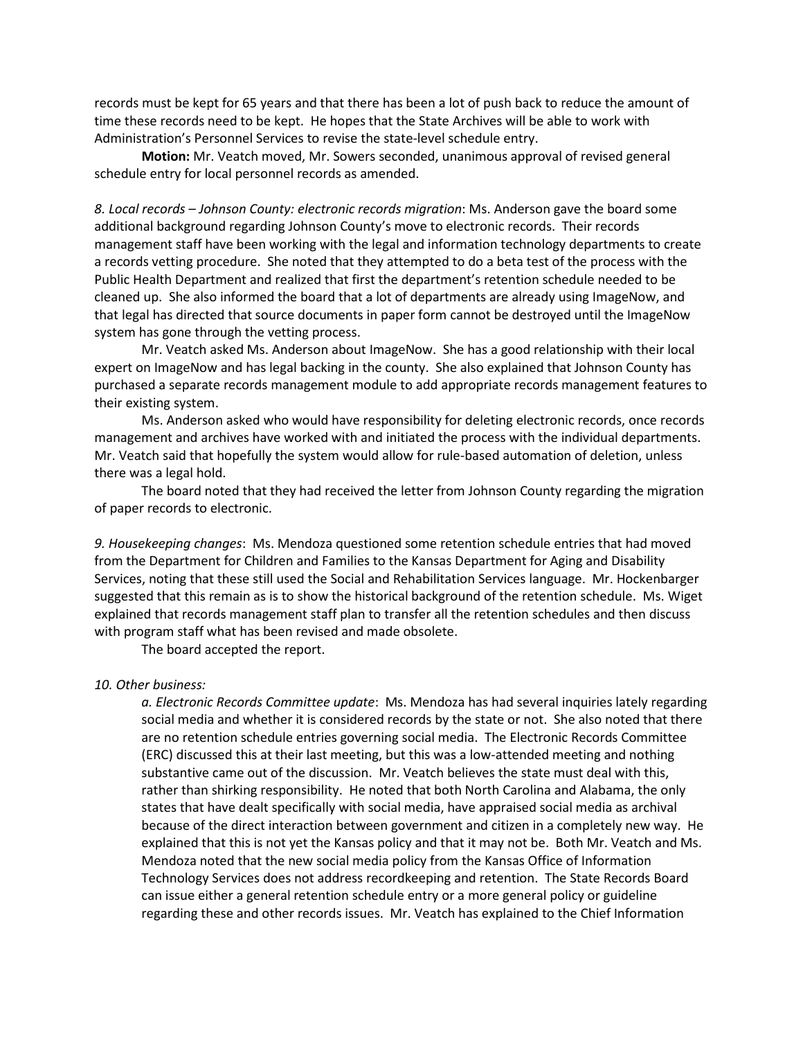records must be kept for 65 years and that there has been a lot of push back to reduce the amount of time these records need to be kept. He hopes that the State Archives will be able to work with Administration's Personnel Services to revise the state-level schedule entry.

**Motion:** Mr. Veatch moved, Mr. Sowers seconded, unanimous approval of revised general schedule entry for local personnel records as amended.

*8. Local records – Johnson County: electronic records migration*: Ms. Anderson gave the board some additional background regarding Johnson County's move to electronic records. Their records management staff have been working with the legal and information technology departments to create a records vetting procedure. She noted that they attempted to do a beta test of the process with the Public Health Department and realized that first the department's retention schedule needed to be cleaned up. She also informed the board that a lot of departments are already using ImageNow, and that legal has directed that source documents in paper form cannot be destroyed until the ImageNow system has gone through the vetting process.

Mr. Veatch asked Ms. Anderson about ImageNow. She has a good relationship with their local expert on ImageNow and has legal backing in the county. She also explained that Johnson County has purchased a separate records management module to add appropriate records management features to their existing system.

Ms. Anderson asked who would have responsibility for deleting electronic records, once records management and archives have worked with and initiated the process with the individual departments. Mr. Veatch said that hopefully the system would allow for rule-based automation of deletion, unless there was a legal hold.

The board noted that they had received the letter from Johnson County regarding the migration of paper records to electronic.

*9. Housekeeping changes*: Ms. Mendoza questioned some retention schedule entries that had moved from the Department for Children and Families to the Kansas Department for Aging and Disability Services, noting that these still used the Social and Rehabilitation Services language. Mr. Hockenbarger suggested that this remain as is to show the historical background of the retention schedule. Ms. Wiget explained that records management staff plan to transfer all the retention schedules and then discuss with program staff what has been revised and made obsolete.

The board accepted the report.

## *10. Other business:*

*a. Electronic Records Committee update*: Ms. Mendoza has had several inquiries lately regarding social media and whether it is considered records by the state or not. She also noted that there are no retention schedule entries governing social media. The Electronic Records Committee (ERC) discussed this at their last meeting, but this was a low-attended meeting and nothing substantive came out of the discussion. Mr. Veatch believes the state must deal with this, rather than shirking responsibility. He noted that both North Carolina and Alabama, the only states that have dealt specifically with social media, have appraised social media as archival because of the direct interaction between government and citizen in a completely new way. He explained that this is not yet the Kansas policy and that it may not be. Both Mr. Veatch and Ms. Mendoza noted that the new social media policy from the Kansas Office of Information Technology Services does not address recordkeeping and retention. The State Records Board can issue either a general retention schedule entry or a more general policy or guideline regarding these and other records issues. Mr. Veatch has explained to the Chief Information